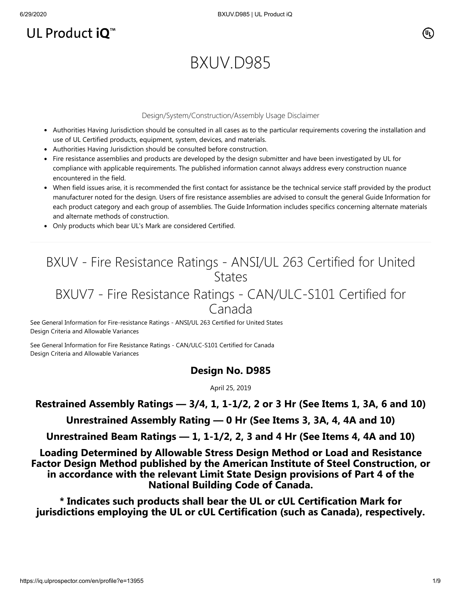# UL Product  $iQ^m$

# BXUV.D985

#### Design/System/Construction/Assembly Usage Disclaimer

- Authorities Having Jurisdiction should be consulted in all cases as to the particular requirements covering the installation and use of UL Certified products, equipment, system, devices, and materials.
- Authorities Having Jurisdiction should be consulted before construction.
- Fire resistance assemblies and products are developed by the design submitter and have been investigated by UL for compliance with applicable requirements. The published information cannot always address every construction nuance encountered in the field.
- When field issues arise, it is recommended the first contact for assistance be the technical service staff provided by the product manufacturer noted for the design. Users of fire resistance assemblies are advised to consult the general Guide Information for each product category and each group of assemblies. The Guide Information includes specifics concerning alternate materials and alternate methods of construction.
- Only products which bear UL's Mark are considered Certified.

## BXUV - Fire Resistance Ratings - ANSI/UL 263 Certified for United **States**

## BXUV7 - Fire Resistance Ratings - CAN/ULC-S101 Certified for Canada

[See General Information for Fire-resistance Ratings - ANSI/UL 263 Certified for United States](https://iq.ulprospector.com/cgi-bin/XYV/template/LISEXT/1FRAME/showpage.html?name=BXUV.GuideInfo&ccnshorttitle=Fire-resistance+Ratings+-+ANSI/UL+263&objid=1074327030&cfgid=1073741824&version=versionless&parent_id=1073984818&sequence=1) Design Criteria and Allowable Variances

[See General Information for Fire Resistance Ratings - CAN/ULC-S101 Certified for Canada](https://iq.ulprospector.com/cgi-bin/XYV/template/LISEXT/1FRAME/showpage.html?name=BXUV7.GuideInfo&ccnshorttitle=Fire+Resistance+Ratings+-+CAN/ULC-S101+Certified+for+Canada&objid=1074205658&cfgid=1073741824&version=versionless&parent_id=1073984820&sequence=1) Design Criteria and Allowable Variances

#### **Design No. D985**

April 25, 2019

#### **Restrained Assembly Ratings — 3/4, 1, 1-1/2, 2 or 3 Hr (See Items 1, 3A, 6 and 10)**

**Unrestrained Assembly Rating — 0 Hr (See Items 3, 3A, 4, 4A and 10)**

**Unrestrained Beam Ratings — 1, 1-1/2, 2, 3 and 4 Hr (See Items 4, 4A and 10)**

**Loading Determined by Allowable Stress Design Method or Load and Resistance Factor Design Method published by the American Institute of Steel Construction, or in accordance with the relevant Limit State Design provisions of Part 4 of the National Building Code of Canada.**

**\* Indicates such products shall bear the UL or cUL Certification Mark for jurisdictions employing the UL or cUL Certification (such as Canada), respectively.**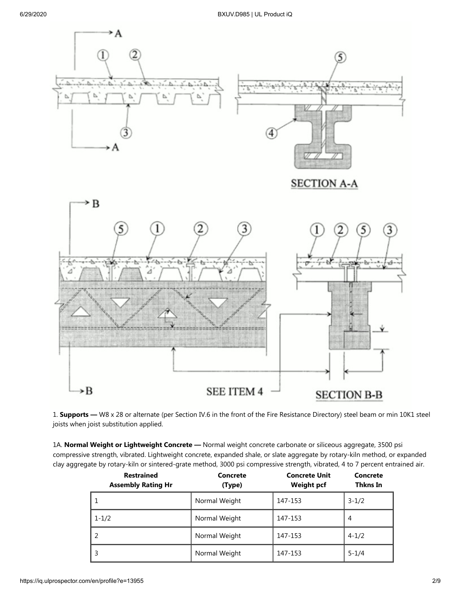

1. **Supports —** W8 x 28 or alternate (per Section IV.6 in the front of the Fire Resistance Directory) steel beam or min 10K1 steel joists when joist substitution applied.

1A. **Normal Weight or Lightweight Concrete —** Normal weight concrete carbonate or siliceous aggregate, 3500 psi compressive strength, vibrated. Lightweight concrete, expanded shale, or slate aggregate by rotary-kiln method, or expanded clay aggregate by rotary-kiln or sintered-grate method, 3000 psi compressive strength, vibrated, 4 to 7 percent entrained air.

| <b>Restrained</b><br><b>Assembly Rating Hr</b> | Concrete<br>(Type) | <b>Concrete Unit</b><br><b>Weight pcf</b> | Concrete<br>Thkns In |
|------------------------------------------------|--------------------|-------------------------------------------|----------------------|
|                                                | Normal Weight      | 147-153                                   | $3 - 1/2$            |
| $1 - 1/2$                                      | Normal Weight      | 147-153                                   | 4                    |
|                                                | Normal Weight      | 147-153                                   | $4 - 1/2$            |
|                                                | Normal Weight      | 147-153                                   | $5 - 1/4$            |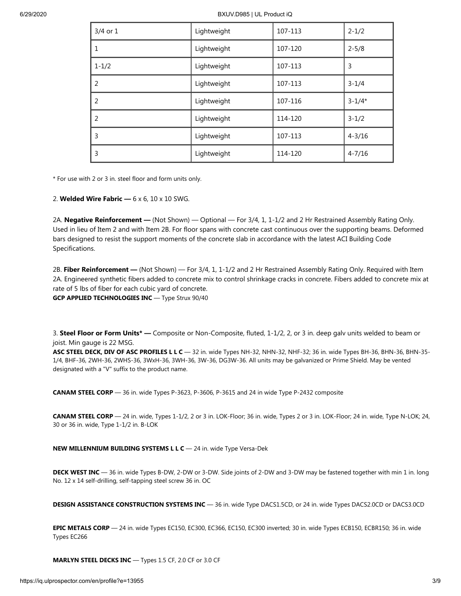6/29/2020 BXUV.D985 | UL Product iQ

| $3/4$ or $1$   | Lightweight | 107-113 | $2 - 1/2$  |
|----------------|-------------|---------|------------|
| 1              | Lightweight | 107-120 | $2 - 5/8$  |
| $1 - 1/2$      | Lightweight | 107-113 | 3          |
| $\overline{2}$ | Lightweight | 107-113 | $3 - 1/4$  |
| 2              | Lightweight | 107-116 | $3 - 1/4*$ |
| $\overline{2}$ | Lightweight | 114-120 | $3 - 1/2$  |
| 3              | Lightweight | 107-113 | $4 - 3/16$ |
| 3              | Lightweight | 114-120 | $4 - 7/16$ |

\* For use with 2 or 3 in. steel floor and form units only.

2. **Welded Wire Fabric —** 6 x 6, 10 x 10 SWG.

2A. **Negative Reinforcement —** (Not Shown) — Optional — For 3/4, 1, 1-1/2 and 2 Hr Restrained Assembly Rating Only. Used in lieu of Item 2 and with Item 2B. For floor spans with concrete cast continuous over the supporting beams. Deformed bars designed to resist the support moments of the concrete slab in accordance with the latest ACI Building Code Specifications.

2B. **Fiber Reinforcement —** (Not Shown) — For 3/4, 1, 1-1/2 and 2 Hr Restrained Assembly Rating Only. Required with Item 2A. Engineered synthetic fibers added to concrete mix to control shrinkage cracks in concrete. Fibers added to concrete mix at rate of 5 lbs of fiber for each cubic yard of concrete. **GCP APPLIED TECHNOLOGIES INC** — Type Strux 90/40

3. **Steel Floor or Form Units\* —** Composite or Non-Composite, fluted, 1-1/2, 2, or 3 in. deep galv units welded to beam or joist. Min gauge is 22 MSG.

**ASC STEEL DECK, DIV OF ASC PROFILES L L C** — 32 in. wide Types NH-32, NHN-32, NHF-32; 36 in. wide Types BH-36, BHN-36, BHN-35- 1/4, BHF-36, 2WH-36, 2WHS-36, 3WxH-36, 3WH-36, 3W-36, DG3W-36. All units may be galvanized or Prime Shield. May be vented designated with a "V" suffix to the product name.

**CANAM STEEL CORP** — 36 in. wide Types P-3623, P-3606, P-3615 and 24 in wide Type P-2432 composite

**CANAM STEEL CORP** — 24 in. wide, Types 1-1/2, 2 or 3 in. LOK-Floor; 36 in. wide, Types 2 or 3 in. LOK-Floor; 24 in. wide, Type N-LOK; 24, 30 or 36 in. wide, Type 1-1/2 in. B-LOK

**NEW MILLENNIUM BUILDING SYSTEMS L L C** — 24 in. wide Type Versa-Dek

**DECK WEST INC** — 36 in. wide Types B-DW, 2-DW or 3-DW. Side joints of 2-DW and 3-DW may be fastened together with min 1 in. long No. 12 x 14 self-drilling, self-tapping steel screw 36 in. OC

**DESIGN ASSISTANCE CONSTRUCTION SYSTEMS INC** — 36 in. wide Type DACS1.5CD, or 24 in. wide Types DACS2.0CD or DACS3.0CD

**EPIC METALS CORP** — 24 in. wide Types EC150, EC300, EC366, EC150, EC300 inverted; 30 in. wide Types ECB150, ECBR150; 36 in. wide Types EC266

**MARLYN STEEL DECKS INC** — Types 1.5 CF, 2.0 CF or 3.0 CF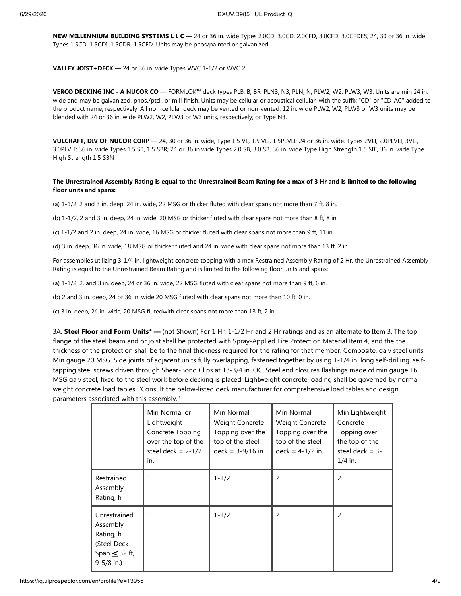**NEW MILLENNIUM BUILDING SYSTEMS L L C** — 24 or 36 in. wide Types 2.0CD, 3.0CD, 2.0CFD, 3.0CFD, 3.0CFDES; 24, 30 or 36 in. wide Types 1.5CD, 1.5CDI, 1.5CDR, 1.5CFD. Units may be phos/painted or galvanized.

**VALLEY JOIST+DECK** — 24 or 36 in. wide Types WVC 1-1/2 or WVC 2

**VERCO DECKING INC - A NUCOR CO** — FORMLOK™ deck types PLB, B, BR, PLN3, N3, PLN, N, PLW2, W2, PLW3, W3. Units are min 24 in. wide and may be galvanized, phos./ptd., or mill finish. Units may be cellular or acoustical cellular, with the suffix "CD" or "CD-AC" added to the product name, respectively. All non-cellular deck may be vented or non-vented. 12 in. wide PLW2, W2, PLW3 or W3 units may be blended with 24 or 36 in. wide PLW2, W2, PLW3 or W3 units, respectively; or Type N3.

**VULCRAFT, DIV OF NUCOR CORP** — 24, 30 or 36 in. wide, Type 1.5 VL, 1.5 VLI, 1.5PLVLI; 24 or 36 in. wide. Types 2VLI, 2.0PLVLI, 3VLI, 3.0PLVLI; 36 in. wide Types 1.5 SB, 1.5 SBR; 24 or 36 in wide Types 2.0 SB, 3.0 SB, 36 in. wide Type High Strength 1.5 SBI, 36 in. wide Type High Strength 1.5 SBN

#### **The Unrestrained Assembly Rating is equal to the Unrestrained Beam Rating for a max of 3 Hr and is limited to the following floor units and spans:**

(a) 1-1/2, 2 and 3 in. deep, 24 in. wide, 22 MSG or thicker fluted with clear spans not more than 7 ft, 8 in.

(b) 1-1/2, 2 and 3 in. deep, 24 in. wide, 20 MSG or thicker fluted with clear spans not more than 8 ft, 8 in.

(c) 1-1/2 and 2 in. deep, 24 in. wide, 16 MSG or thicker fluted with clear spans not more than 9 ft, 11 in.

(d) 3 in. deep, 36 in. wide, 18 MSG or thicker fluted and 24 in. wide with clear spans not more than 13 ft, 2 in.

For assemblies utilizing 3-1/4 in. lightweight concrete topping with a max Restrained Assembly Rating of 2 Hr, the Unrestrained Assembly Rating is equal to the Unrestrained Beam Rating and is limited to the following floor units and spans:

(a) 1-1/2, 2, and 3 in. deep, 24 or 36 in. wide, 22 MSG fluted with clear spans not more than 9 ft, 6 in.

(b) 2 and 3 in. deep, 24 or 36 in. wide 20 MSG fluted with clear spans not more than 10 ft, 0 in.

(c) 3 in. deep, 24 in. wide, 20 MSG flutedwith clear spans not more than 13 ft, 2 in.

3A. **Steel Floor and Form Units\* —** (not Shown) For 1 Hr, 1-1/2 Hr and 2 Hr ratings and as an alternate to Item 3. The top flange of the steel beam and or joist shall be protected with Spray-Applied Fire Protection Material Item 4, and the the thickness of the protection shall be to the final thickness required for the rating for that member. Composite, galv steel units. Min gauge 20 MSG. Side joints of adjacent units fully overlapping, fastened together by using 1-1/4 in. long self-drilling, selftapping steel screws driven through Shear-Bond Clips at 13-3/4 in. OC. Steel end closures flashings made of min gauge 16 MSG galv steel, fixed to the steel work before decking is placed. Lightweight concrete loading shall be governed by normal weight concrete load tables. "Consult the below-listed deck manufacturer for comprehensive load tables and design parameters associated with this assembly."

|                                                                                              | Min Normal or<br>Lightweight<br>Concrete Topping<br>over the top of the<br>steel deck = $2-1/2$<br>in. | Min Normal<br>Weight Concrete<br>Topping over the<br>top of the steel<br>$deck = 3-9/16$ in. | Min Normal<br>Weight Concrete<br>Topping over the<br>top of the steel<br>$deck = 4-1/2$ in. | Min Lightweight<br>Concrete<br>Topping over<br>the top of the<br>steel deck $=$ 3-<br>$1/4$ in. |
|----------------------------------------------------------------------------------------------|--------------------------------------------------------------------------------------------------------|----------------------------------------------------------------------------------------------|---------------------------------------------------------------------------------------------|-------------------------------------------------------------------------------------------------|
| Restrained<br>Assembly<br>Rating, h                                                          | $\mathbf{1}$                                                                                           | $1 - 1/2$                                                                                    | $\overline{2}$                                                                              | 2                                                                                               |
| Unrestrained<br>Assembly<br>Rating, h<br>(Steel Deck<br>Span $\leq$ 32 ft,<br>$9 - 5/8$ in.) | $\mathbf{1}$                                                                                           | $1 - 1/2$                                                                                    | $\overline{2}$                                                                              | 2                                                                                               |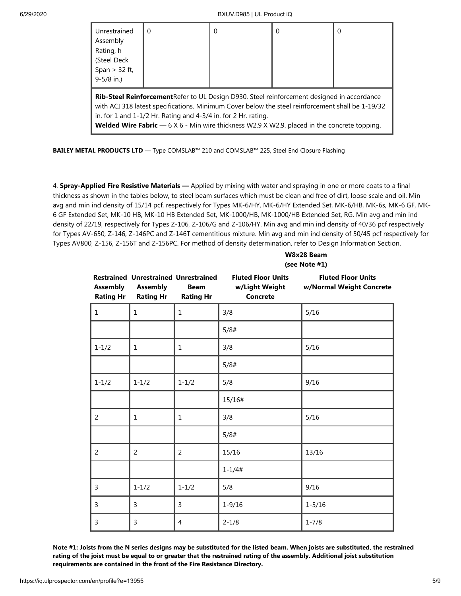| Unrestrained<br>Assembly<br>Rating, h<br>(Steel Deck<br>Span $>$ 32 ft,<br>$9 - 5/8$ in.) | 0                                                                                                                                                                                                                                                                                                                                                                                         | 0 | $\Omega$ | 0 |
|-------------------------------------------------------------------------------------------|-------------------------------------------------------------------------------------------------------------------------------------------------------------------------------------------------------------------------------------------------------------------------------------------------------------------------------------------------------------------------------------------|---|----------|---|
|                                                                                           | <b>Rib-Steel Reinforcement</b> Refer to UL Design D930. Steel reinforcement designed in accordance<br>with ACI 318 latest specifications. Minimum Cover below the steel reinforcement shall be 1-19/32<br>in. for 1 and $1-1/2$ Hr. Rating and $4-3/4$ in. for 2 Hr. rating.<br><b>Welded Wire Fabric</b> $-6 \times 6$ - Min wire thickness W2.9 X W2.9. placed in the concrete topping. |   |          |   |

**BAILEY METAL PRODUCTS LTD** — Type COMSLAB™ 210 and COMSLAB™ 225, Steel End Closure Flashing

4. **Spray-Applied Fire Resistive Materials —** Applied by mixing with water and spraying in one or more coats to a final thickness as shown in the tables below, to steel beam surfaces which must be clean and free of dirt, loose scale and oil. Min avg and min ind density of 15/14 pcf, respectively for Types MK-6/HY, MK-6/HY Extended Set, MK-6/HB, MK-6s, MK-6 GF, MK-6 GF Extended Set, MK-10 HB, MK-10 HB Extended Set, MK-1000/HB, MK-1000/HB Extended Set, RG. Min avg and min ind density of 22/19, respectively for Types Z-106, Z-106/G and Z-106/HY. Min avg and min ind density of 40/36 pcf respectively for Types AV-650, Z-146, Z-146PC and Z-146T cementitious mixture. Min avg and min ind density of 50/45 pcf respectively for Types AV800, Z-156, Z-156T and Z-156PC. For method of density determination, refer to Design Information Section.

|                                     |                                                                                    |                                 | W8x28 Beam<br>(see Note #1)                                    |                                                       |  |
|-------------------------------------|------------------------------------------------------------------------------------|---------------------------------|----------------------------------------------------------------|-------------------------------------------------------|--|
| <b>Assembly</b><br><b>Rating Hr</b> | <b>Restrained Unrestrained Unrestrained</b><br><b>Assembly</b><br><b>Rating Hr</b> | <b>Beam</b><br><b>Rating Hr</b> | <b>Fluted Floor Units</b><br>w/Light Weight<br><b>Concrete</b> | <b>Fluted Floor Units</b><br>w/Normal Weight Concrete |  |
| $\mathbf{1}$                        | $\mathbf{1}$                                                                       | 1                               | 3/8                                                            | 5/16                                                  |  |
|                                     |                                                                                    |                                 | 5/8#                                                           |                                                       |  |
| $1 - 1/2$                           | $\mathbf{1}$                                                                       | 1                               | 3/8                                                            | 5/16                                                  |  |
|                                     |                                                                                    |                                 | 5/8#                                                           |                                                       |  |
| $1 - 1/2$                           | $1 - 1/2$                                                                          | $1 - 1/2$                       | 5/8                                                            | 9/16                                                  |  |
|                                     |                                                                                    |                                 | 15/16#                                                         |                                                       |  |
| 2                                   | 1                                                                                  | 1                               | 3/8                                                            | 5/16                                                  |  |
|                                     |                                                                                    |                                 | 5/8#                                                           |                                                       |  |
| 2                                   | $\overline{2}$                                                                     | 2                               | 15/16                                                          | 13/16                                                 |  |
|                                     |                                                                                    |                                 | $1 - 1/4#$                                                     |                                                       |  |
| 3                                   | $1 - 1/2$                                                                          | $1 - 1/2$                       | 5/8                                                            | 9/16                                                  |  |
| 3                                   | 3                                                                                  | 3                               | $1 - 9/16$                                                     | $1 - 5/16$                                            |  |
| 3                                   | 3                                                                                  | 4                               | $2 - 1/8$                                                      | $1 - 7/8$                                             |  |

**Note #1: Joists from the N series designs may be substituted for the listed beam. When joists are substituted, the restrained rating of the joist must be equal to or greater that the restrained rating of the assembly. Additional joist substitution requirements are contained in the front of the Fire Resistance Directory.**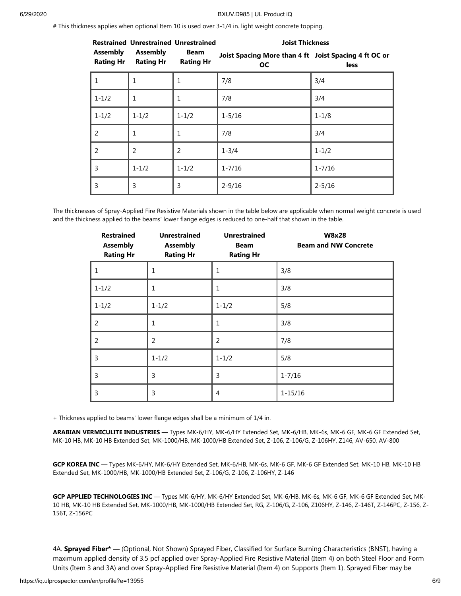# This thickness applies when optional Item 10 is used over 3-1/4 in. light weight concrete topping.

| <b>Restrained Unrestrained Unrestrained</b> |                                     | <b>Joist Thickness</b>   |                                                                    |            |
|---------------------------------------------|-------------------------------------|--------------------------|--------------------------------------------------------------------|------------|
| <b>Assembly</b><br><b>Rating Hr</b>         | <b>Assembly</b><br><b>Rating Hr</b> | Beam<br><b>Rating Hr</b> | Joist Spacing More than 4 ft Joist Spacing 4 ft OC or<br><b>OC</b> | less       |
| 1                                           | $\mathbf{1}$                        | 1                        | 7/8                                                                | 3/4        |
| $1 - 1/2$                                   | $\mathbf{1}$                        | 1                        | 7/8                                                                | 3/4        |
| $1 - 1/2$                                   | $1 - 1/2$                           | $1 - 1/2$                | $1 - 5/16$                                                         | $1 - 1/8$  |
| 2                                           | $\mathbf{1}$                        | 1                        | 7/8                                                                | 3/4        |
| 2                                           | $\overline{2}$                      | $\overline{2}$           | $1 - 3/4$                                                          | $1 - 1/2$  |
| 3                                           | $1 - 1/2$                           | $1 - 1/2$                | $1 - 7/16$                                                         | $1 - 7/16$ |
| 3                                           | 3                                   | 3                        | $2 - 9/16$                                                         | $2 - 5/16$ |

The thicknesses of Spray-Applied Fire Resistive Materials shown in the table below are applicable when normal weight concrete is used and the thickness applied to the beams' lower flange edges is reduced to one-half that shown in the table.

| <b>Restrained</b><br><b>Assembly</b><br><b>Rating Hr</b> | <b>Unrestrained</b><br><b>Assembly</b><br><b>Rating Hr</b> | <b>Unrestrained</b><br><b>Beam</b><br><b>Rating Hr</b> | <b>W8x28</b><br><b>Beam and NW Concrete</b> |
|----------------------------------------------------------|------------------------------------------------------------|--------------------------------------------------------|---------------------------------------------|
| $\mathbf{1}$                                             | 1                                                          | 1                                                      | 3/8                                         |
| $1 - 1/2$                                                | 1                                                          | 1                                                      | 3/8                                         |
| $1 - 1/2$                                                | $1 - 1/2$                                                  | $1 - 1/2$                                              | 5/8                                         |
| $\overline{2}$                                           | 1                                                          | 1                                                      | 3/8                                         |
| $\overline{2}$                                           | $\overline{2}$                                             | $\overline{2}$                                         | 7/8                                         |
| $\overline{3}$                                           | $1 - 1/2$                                                  | $1 - 1/2$                                              | 5/8                                         |
| 3                                                        | 3                                                          | 3                                                      | $1 - 7/16$                                  |
| 3                                                        | 3                                                          | 4                                                      | $1 - 15/16$                                 |

+ Thickness applied to beams' lower flange edges shall be a minimum of 1/4 in.

**ARABIAN VERMICULITE INDUSTRIES** — Types MK-6/HY, MK-6/HY Extended Set, MK-6/HB, MK-6s, MK-6 GF, MK-6 GF Extended Set, MK-10 HB, MK-10 HB Extended Set, MK-1000/HB, MK-1000/HB Extended Set, Z-106, Z-106/G, Z-106HY, Z146, AV-650, AV-800

**GCP KOREA INC** — Types MK-6/HY, MK-6/HY Extended Set, MK-6/HB, MK-6s, MK-6 GF, MK-6 GF Extended Set, MK-10 HB, MK-10 HB Extended Set, MK-1000/HB, MK-1000/HB Extended Set, Z-106/G, Z-106, Z-106HY, Z-146

**GCP APPLIED TECHNOLOGIES INC** — Types MK-6/HY, MK-6/HY Extended Set, MK-6/HB, MK-6s, MK-6 GF, MK-6 GF Extended Set, MK-10 HB, MK-10 HB Extended Set, MK-1000/HB, MK-1000/HB Extended Set, RG, Z-106/G, Z-106, Z106HY, Z-146, Z-146T, Z-146PC, Z-156, Z-156T, Z-156PC

4A. **Sprayed Fiber\* —** (Optional, Not Shown) Sprayed Fiber, Classified for Surface Burning Characteristics (BNST), having a maximum applied density of 3.5 pcf applied over Spray-Applied Fire Resistive Material (Item 4) on both Steel Floor and Form Units (Item 3 and 3A) and over Spray-Applied Fire Resistive Material (Item 4) on Supports (Item 1). Sprayed Fiber may be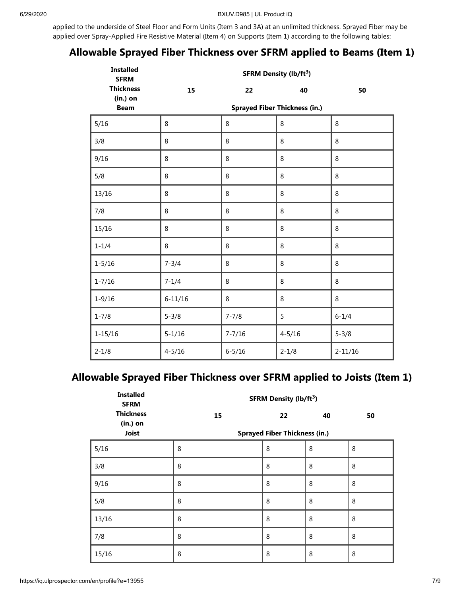applied to the underside of Steel Floor and Form Units (Item 3 and 3A) at an unlimited thickness. Sprayed Fiber may be applied over Spray-Applied Fire Resistive Material (Item 4) on Supports (Item 1) according to the following tables:

## **Allowable Sprayed Fiber Thickness over SFRM applied to Beams (Item 1)**

| <b>Installed</b><br><b>SFRM</b> | <b>SFRM Density (lb/ft<sup>3</sup>)</b> |            |            |             |  |  |
|---------------------------------|-----------------------------------------|------------|------------|-------------|--|--|
| <b>Thickness</b><br>$(in.)$ on  | 15                                      | 22         | 40         | 50          |  |  |
| <b>Beam</b>                     | <b>Sprayed Fiber Thickness (in.)</b>    |            |            |             |  |  |
| 5/16                            | $\,8\,$                                 | $\,8\,$    | 8          | $\,8\,$     |  |  |
| 3/8                             | 8                                       | 8          | 8          | 8           |  |  |
| 9/16                            | 8                                       | 8          | 8          | 8           |  |  |
| 5/8                             | $\,8\,$                                 | 8          | 8          | $\,8\,$     |  |  |
| 13/16                           | 8                                       | 8          | 8          | 8           |  |  |
| 7/8                             | 8                                       | 8          | 8          | 8           |  |  |
| 15/16                           | 8                                       | 8          | 8          | 8           |  |  |
| $1 - 1/4$                       | $\,8\,$                                 | 8          | 8          | 8           |  |  |
| $1 - 5/16$                      | $7 - 3/4$                               | 8          | 8          | 8           |  |  |
| $1 - 7/16$                      | $7 - 1/4$                               | 8          | 8          | 8           |  |  |
| $1 - 9/16$                      | $6 - 11/16$                             | 8          | 8          | $\,8\,$     |  |  |
| $1 - 7/8$                       | $5 - 3/8$                               | $7 - 7/8$  | 5          | $6 - 1/4$   |  |  |
| $1 - 15/16$                     | $5 - 1/16$                              | $7 - 7/16$ | $4 - 5/16$ | $5 - 3/8$   |  |  |
| $2 - 1/8$                       | $4 - 5/16$                              | $6 - 5/16$ | $2 - 1/8$  | $2 - 11/16$ |  |  |

### **Allowable Sprayed Fiber Thickness over SFRM applied to Joists (Item 1)**

| <b>Installed</b><br><b>SFRM</b> | <b>SFRM Density (lb/ft<sup>3</sup>)</b> |                                      |    |    |  |
|---------------------------------|-----------------------------------------|--------------------------------------|----|----|--|
| <b>Thickness</b><br>$(in.)$ on  | 15                                      | 22                                   | 40 | 50 |  |
| <b>Joist</b>                    |                                         | <b>Sprayed Fiber Thickness (in.)</b> |    |    |  |
| 5/16                            | 8                                       | 8                                    | 8  | 8  |  |
| 3/8                             | 8                                       | 8                                    | 8  | 8  |  |
| 9/16                            | 8                                       | 8                                    | 8  | 8  |  |
| 5/8                             | 8                                       | 8                                    | 8  | 8  |  |
| 13/16                           | 8                                       | 8                                    | 8  | 8  |  |
| 7/8                             | 8                                       | 8                                    | 8  | 8  |  |
| 15/16                           | 8                                       | 8                                    | 8  | 8  |  |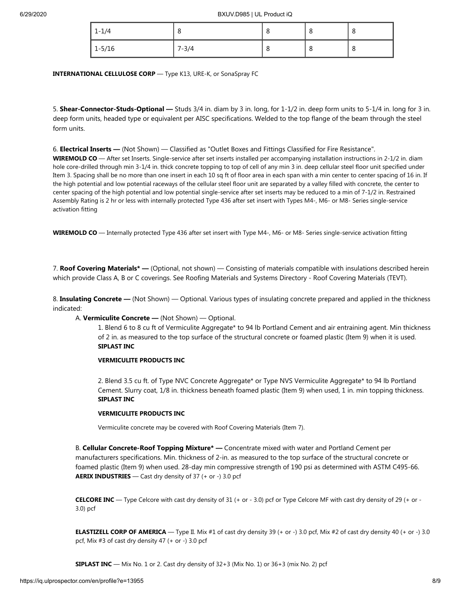| $1 - 1/4$  | O         | ο | 8 | u |
|------------|-----------|---|---|---|
| $1 - 5/16$ | $7 - 3/4$ | O | 8 | o |

**INTERNATIONAL CELLULOSE CORP** — Type K13, URE-K, or SonaSpray FC

5. **Shear-Connector-Studs-Optional —** Studs 3/4 in. diam by 3 in. long, for 1-1/2 in. deep form units to 5-1/4 in. long for 3 in. deep form units, headed type or equivalent per AISC specifications. Welded to the top flange of the beam through the steel form units.

6. **Electrical Inserts —** (Not Shown) — Classified as "Outlet Boxes and Fittings Classified for Fire Resistance".

WIREMOLD CO — After set Inserts. Single-service after set inserts installed per accompanying installation instructions in 2-1/2 in. diam hole core-drilled through min 3-1/4 in. thick concrete topping to top of cell of any min 3 in. deep cellular steel floor unit specified under Item 3. Spacing shall be no more than one insert in each 10 sq ft of floor area in each span with a min center to center spacing of 16 in. If the high potential and low potential raceways of the cellular steel floor unit are separated by a valley filled with concrete, the center to center spacing of the high potential and low potential single-service after set inserts may be reduced to a min of 7-1/2 in. Restrained Assembly Rating is 2 hr or less with internally protected Type 436 after set insert with Types M4-, M6- or M8- Series single-service activation fitting

**WIREMOLD CO** — Internally protected Type 436 after set insert with Type M4-, M6- or M8- Series single-service activation fitting

7. **Roof Covering Materials\* —** (Optional, not shown) — Consisting of materials compatible with insulations described herein which provide Class A, B or C coverings. See Roofing Materials and Systems Directory - Roof Covering Materials (TEVT).

8. **Insulating Concrete —** (Not Shown) — Optional. Various types of insulating concrete prepared and applied in the thickness indicated:

A. **Vermiculite Concrete —** (Not Shown) — Optional.

1. Blend 6 to 8 cu ft of Vermiculite Aggregate\* to 94 lb Portland Cement and air entraining agent. Min thickness of 2 in. as measured to the top surface of the structural concrete or foamed plastic (Item 9) when it is used. **SIPLAST INC**

#### **VERMICULITE PRODUCTS INC**

2. Blend 3.5 cu ft. of Type NVC Concrete Aggregate\* or Type NVS Vermiculite Aggregate\* to 94 lb Portland Cement. Slurry coat, 1/8 in. thickness beneath foamed plastic (Item 9) when used, 1 in. min topping thickness. **SIPLAST INC**

#### **VERMICULITE PRODUCTS INC**

Vermiculite concrete may be covered with Roof Covering Materials (Item 7).

B. **Cellular Concrete-Roof Topping Mixture\* —** Concentrate mixed with water and Portland Cement per manufacturers specifications. Min. thickness of 2-in. as measured to the top surface of the structural concrete or foamed plastic (Item 9) when used. 28-day min compressive strength of 190 psi as determined with ASTM C495-66. **AERIX INDUSTRIES** — Cast dry density of 37 (+ or -) 3.0 pcf

**CELCORE INC** — Type Celcore with cast dry density of 31 (+ or - 3.0) pcf or Type Celcore MF with cast dry density of 29 (+ or - 3.0) pcf

**ELASTIZELL CORP OF AMERICA** — Type II. Mix #1 of cast dry density 39 (+ or -) 3.0 pcf, Mix #2 of cast dry density 40 (+ or -) 3.0 pcf, Mix #3 of cast dry density 47 (+ or -) 3.0 pcf

**SIPLAST INC** — Mix No. 1 or 2. Cast dry density of 32+3 (Mix No. 1) or 36+3 (mix No. 2) pcf